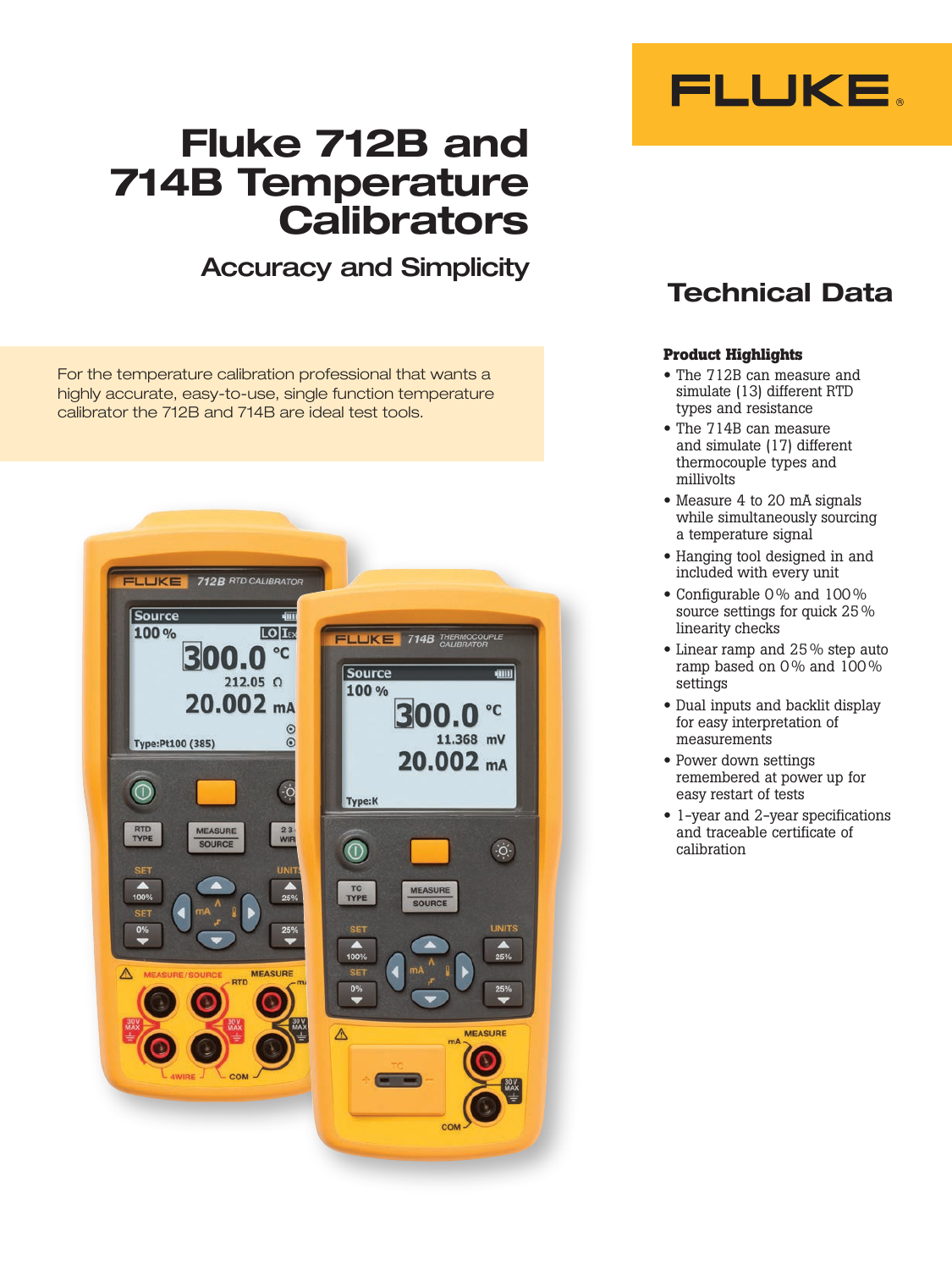

# Fluke 712B and 714B Temperature **Calibrators**

## Accuracy and Simplicity

For the temperature calibration professional that wants a highly accurate, easy-to-use, single function temperature calibrator the 712B and 714B are ideal test tools.



## Technical Data

#### **Product Highlights**

- The 712B can measure and simulate (13) different RTD types and resistance
- The 714B can measure and simulate (17) different thermocouple types and millivolts
- Measure 4 to 20 mA signals while simultaneously sourcing a temperature signal
- Hanging tool designed in and included with every unit
- Configurable 0 % and 100 % source settings for quick 25 % linearity checks
- Linear ramp and 25 % step auto ramp based on 0% and 100% settings
- Dual inputs and backlit display for easy interpretation of measurements
- Power down settings remembered at power up for easy restart of tests
- 1-year and 2-year specifications and traceable certificate of calibration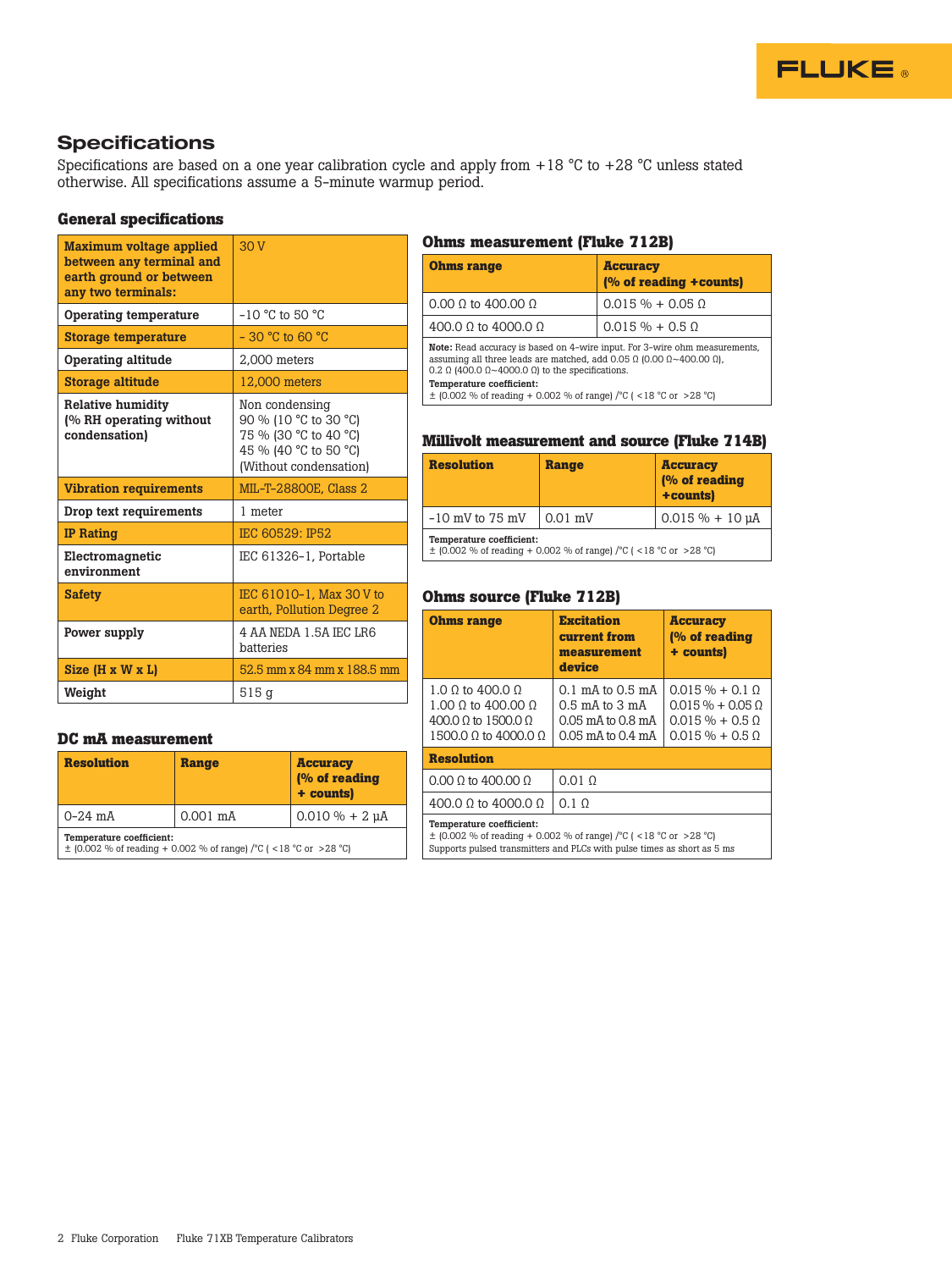

## **Specifications**

Specifications are based on a one year calibration cycle and apply from  $+18$  °C to  $+28$  °C unless stated otherwise. All specifications assume a 5-minute warmup period.

#### **General specifications**

| <b>Maximum voltage applied</b><br>between any terminal and<br>earth ground or between<br>any two terminals: | 30V                                                                                                                 |
|-------------------------------------------------------------------------------------------------------------|---------------------------------------------------------------------------------------------------------------------|
| Operating temperature                                                                                       | $-10$ °C to 50 °C                                                                                                   |
| <b>Storage temperature</b>                                                                                  | $-30$ °C to 60 °C                                                                                                   |
| Operating altitude                                                                                          | 2.000 meters                                                                                                        |
| <b>Storage altitude</b>                                                                                     | 12,000 meters                                                                                                       |
| <b>Relative humidity</b><br>(% RH operating without<br>condensation)                                        | Non condensing<br>90 % (10 °C to 30 °C)<br>75 % (30 °C to 40 °C)<br>45 % (40 °C to 50 °C)<br>(Without condensation) |
| <b>Vibration requirements</b>                                                                               | MIL-T-28800E, Class 2                                                                                               |
| Drop text requirements                                                                                      | 1 meter                                                                                                             |
|                                                                                                             |                                                                                                                     |
| <b>IP Rating</b>                                                                                            | IEC 60529: IP52                                                                                                     |
| Electromagnetic<br>environment                                                                              | IEC 61326-1, Portable                                                                                               |
| <b>Safety</b>                                                                                               | IEC 61010-1. Max 30 V to<br>earth, Pollution Degree 2                                                               |
| Power supply                                                                                                | 4 AA NEDA 1.5A IEC LR6<br>batteries                                                                                 |
| $Size (H \times W \times L)$                                                                                | 52.5 mm x 84 mm x 188.5 mm                                                                                          |

#### **DC mA measurement**

| <b>Resolution</b>                                                                                   | <b>Range</b> | <b>Accuracy</b><br>(% of reading<br>+ counts) |  |  |  |
|-----------------------------------------------------------------------------------------------------|--------------|-----------------------------------------------|--|--|--|
| $0-24$ mA<br>$0.001$ mA                                                                             |              | $0.010 \% + 2 \mu A$                          |  |  |  |
| Temperature coefficient:<br>$\pm$ (0.002 % of reading + 0.002 % of range) /°C ( < 18 °C or > 28 °C) |              |                                               |  |  |  |

#### **Ohms measurement (Fluke 712B)**

| <b>Ohms range</b>                                                                                                                                                                                                                                    | <b>Accuracy</b><br>(% of reading +counts) |  |  |  |  |
|------------------------------------------------------------------------------------------------------------------------------------------------------------------------------------------------------------------------------------------------------|-------------------------------------------|--|--|--|--|
| $0.00 \Omega$ to 400.00 $\Omega$                                                                                                                                                                                                                     | $0.015 \% + 0.05$ Q                       |  |  |  |  |
| 400.0 Ω to 4000.0 $\Omega$                                                                                                                                                                                                                           | $0.015 \% + 0.5 \Omega$                   |  |  |  |  |
| Note: Read accuracy is based on 4-wire input. For 3-wire ohm measurements,<br>assuming all three leads are matched, add 0.05 $\Omega$ (0.00 $\Omega \sim 400.00 \Omega$ ),<br>0.2 $\Omega$ (400.0 $\Omega$ ~4000.0 $\Omega$ ) to the specifications. |                                           |  |  |  |  |
| Temperature coefficient:<br>$\pm$ (0.002 % of reading + 0.002 % of range) /°C ( <18 °C or >28 °C)                                                                                                                                                    |                                           |  |  |  |  |

#### **Millivolt measurement and source (Fluke 714B)**

| <b>Resolution</b><br><b>Range</b>                                                                 |           | <b>Accuracy</b><br>(% of reading<br>+counts) |  |  |  |
|---------------------------------------------------------------------------------------------------|-----------|----------------------------------------------|--|--|--|
| $-10$ mV to 75 mV                                                                                 | $0.01$ mV | $0.015 \% + 10 \mu A$                        |  |  |  |
| Temperature coefficient:<br>$\pm$ (0.002 % of reading + 0.002 % of range) /°C ( <18 °C or >28 °C) |           |                                              |  |  |  |

### **Ohms source (Fluke 712B)**

| <b>Ohms range</b>                                                                                                                                                            | <b>Excitation</b><br>current from<br>measurement<br>device                               | <b>Accuracy</b><br>(% of reading<br>+ counts)                                                  |  |  |  |
|------------------------------------------------------------------------------------------------------------------------------------------------------------------------------|------------------------------------------------------------------------------------------|------------------------------------------------------------------------------------------------|--|--|--|
| 1.0 0 to 400.0 0<br>1.00 0 to 400.00 0<br>$400.0 \Omega$ to $1500.0 \Omega$<br>1500.0 0 to 4000.0 0                                                                          | 0.1 mA to 0.5 mA<br>$0.5$ mA to $3$ mA<br>$0.05$ mA to $0.8$ mA<br>$0.05$ mA to $0.4$ mA | $0.015 \% + 0.1$ $\Omega$<br>$0.015\% + 0.050$<br>$0.015 \% + 0.50$<br>$0.015 \% + 0.5 \Omega$ |  |  |  |
| <b>Resolution</b>                                                                                                                                                            |                                                                                          |                                                                                                |  |  |  |
| $0.00 \Omega$ to 400.00 $\Omega$                                                                                                                                             | $0.01 \Omega$                                                                            |                                                                                                |  |  |  |
| 400.0 0 to 4000.0 0                                                                                                                                                          | $0.1 \Omega$                                                                             |                                                                                                |  |  |  |
| Temperature coefficient:<br>$\pm$ (0.002 % of reading + 0.002 % of range) /°C ( <18 °C or >28 °C)<br>Supports pulsed transmitters and PLCs with pulse times as short as 5 ms |                                                                                          |                                                                                                |  |  |  |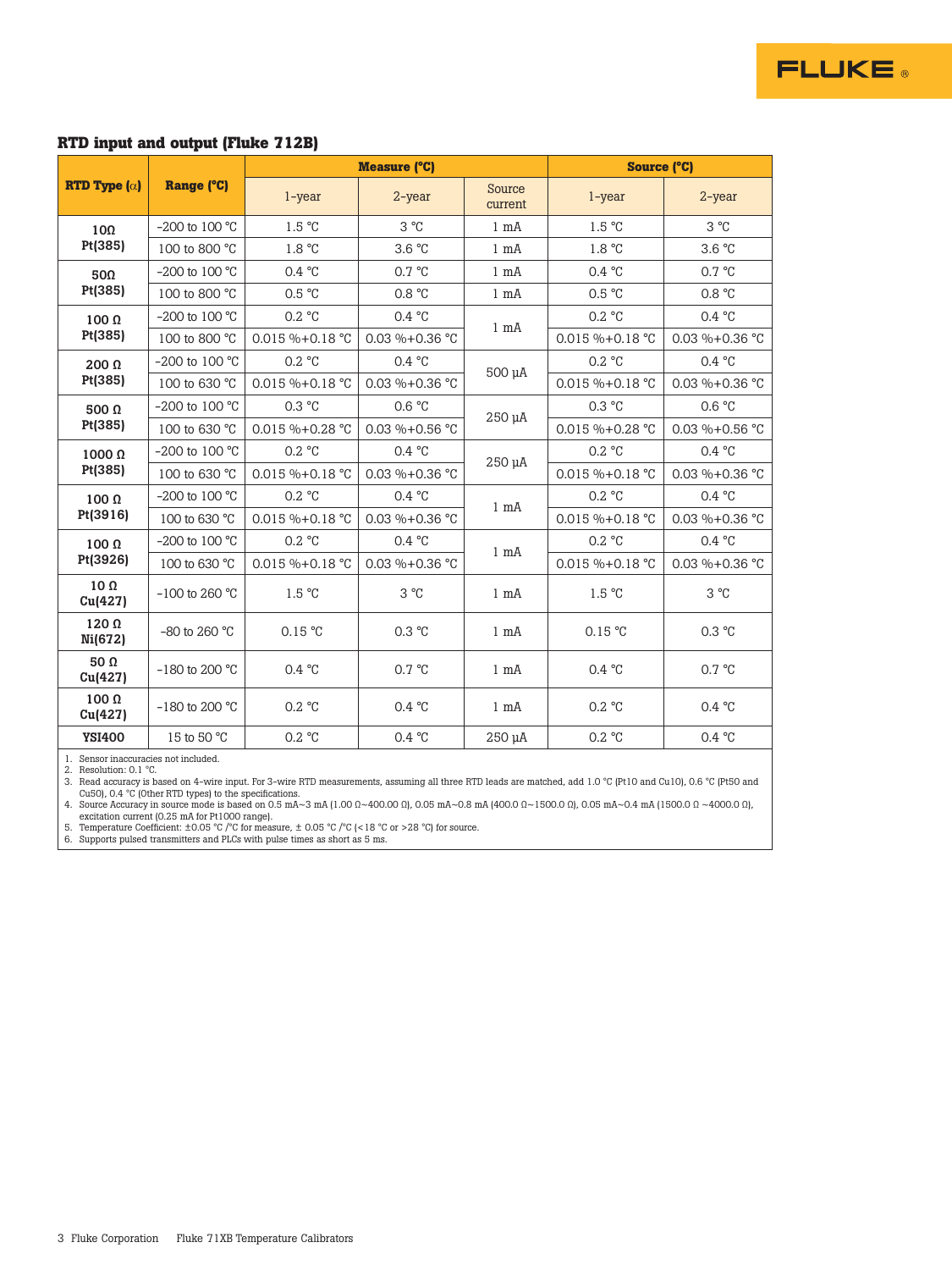#### **RTD input and output (Fluke 712B)**

|                                       |                    |                         | <b>Measure (°C)</b> | <b>Source (°C)</b> |                      |                     |
|---------------------------------------|--------------------|-------------------------|---------------------|--------------------|----------------------|---------------------|
| <b>RTD Type <math>(\alpha)</math></b> | Range (°C)         | $1$ -year               | 2-year              | Source<br>current  | $1$ -year            | $2$ -year           |
| $10\Omega$                            | $-200$ to $100 °C$ | 1.5 °C                  | $3^{\circ}C$        | $1 \text{ mA}$     | 1.5 °C               | $3^{\circ}C$        |
| Pt(385)                               | 100 to 800 °C      | 1.8 °C                  | 3.6 °C              | $1 \text{ mA}$     | 1.8 °C               | 3.6 °C              |
| 50Ω                                   | $-200$ to $100 °C$ | 0.4 °C                  | $0.7 \text{ °C}$    | $1 \text{ mA}$     | 0.4 °C               | 0.7 °C              |
| Pt(385)                               | 100 to 800 °C      | 0.5 °C                  | 0.8 °C              | $1 \text{ mA}$     | 0.5 °C               | 0.8 °C              |
| $100 \Omega$                          | $-200$ to $100 °C$ | 0.2 °C                  | 0.4 °C              | $1 \text{ mA}$     | 0.2 °C               | 0.4 °C              |
| Pt(385)                               | 100 to 800 °C      | $0.015 \% + 0.18 °C$    | $0.03 \% + 0.36 °C$ |                    | $0.015 \% + 0.18 °C$ | $0.03 \% + 0.36 °C$ |
| $200 \Omega$                          | $-200$ to 100 °C   | 0.2 °C                  | 0.4 °C              | 500 µA             | 0.2 °C               | 0.4 °C              |
| Pt(385)                               | 100 to 630 °C      | $0.015 \% + 0.18 °C$    | $0.03 \% + 0.36 °C$ |                    | $0.015 \% + 0.18 °C$ | $0.03 \% + 0.36 °C$ |
| 500 $\Omega$                          | $-200$ to 100 °C   | $0.3 \text{ °C}$        | 0.6 °C              | $250 \mu A$        | $0.3 \text{ °C}$     | 0.6 °C              |
| Pt(385)                               | 100 to 630 °C      | $0.015 \% + 0.28 °C$    | $0.03 \% + 0.56 °C$ |                    | $0.015 \% + 0.28 °C$ | $0.03 \% + 0.56 °C$ |
| $1000 \Omega$                         | $-200$ to 100 °C   | $0.2 \text{ °C}$        | 0.4 °C              | $250 \mu A$        | $0.2 \text{ °C}$     | 0.4 °C              |
| Pt(385)                               | 100 to 630 °C      | 0.015 %+0.18 °C         | $0.03 \% + 0.36 °C$ |                    | $0.015 \% + 0.18 °C$ | 0.03 %+0.36 °C      |
| $100 \Omega$                          | $-200$ to 100 °C   | 0.2 °C                  | 0.4 °C              | $1 \text{ mA}$     | 0.2 °C               | 0.4 °C              |
| Pt(3916)                              | 100 to 630 °C      | $0.015 \% + 0.18 °C$    | $0.03 \% + 0.36 °C$ |                    | $0.015 \% + 0.18 °C$ | 0.03 %+0.36 °C      |
| $100 \Omega$                          | $-200$ to 100 °C   | $0.2 \text{ °C}$        | 0.4 °C              | $1 \text{ mA}$     | $0.2 \text{ °C}$     | 0.4 °C              |
| Pt(3926)                              | 100 to 630 °C      | $0.015 \% + 0.18 °C$    | $0.03 \% + 0.36 °C$ |                    | $0.015 \% + 0.18 °C$ | $0.03 \% + 0.36 °C$ |
| $10\Omega$<br>Cu(427)                 | $-100$ to 260 °C   | 1.5 °C                  | 3°C                 | $1 \text{ mA}$     | 1.5 °C               | $3^{\circ}C$        |
| 120 $\Omega$<br>Ni(672)               | $-80$ to 260 °C    | 0.15 °C                 | 0.3 °C              | $1 \text{ mA}$     | 0.15 °C              | 0.3 °C              |
| 50 $\Omega$<br>Cu(427)                | $-180$ to 200 °C   | 0.4 °C                  | $0.7 \text{ °C}$    | $1 \text{ mA}$     | 0.4 °C               | 0.7 °C              |
| $100 \Omega$<br>Cu(427)               | $-180$ to 200 °C   | $0.2 \text{ }^{\circ}C$ | $0.4 \text{ °C}$    | $1 \text{ mA}$     | 0.2 °C               | 0.4 °C              |
| <b>YSI400</b>                         | 15 to 50 °C        | 0.2 °C                  | 0.4 °C              | 250 µA             | 0.2 °C               | 0.4 °C              |

**FLUKE** 

1. Sensor inaccuracies not included.<br>2. Resolution: 0.1 °C.<br>3. Read accuracy is based on 4-wire input. For 3-wire RTD measurements, assuming all three RTD leads are matched, add 1.0 °C (Pt10 and Cu10), 0.6 °C (Pt50 and<br>Cu

excitation current (0.25 mA for Pt1000 range). 5. Temperature Coefficient: ±0.05 °C /°C for measure, ± 0.05 °C /°C (<18 °C or >28 °C) for source. 6. Supports pulsed transmitters and PLCs with pulse times as short as 5 ms.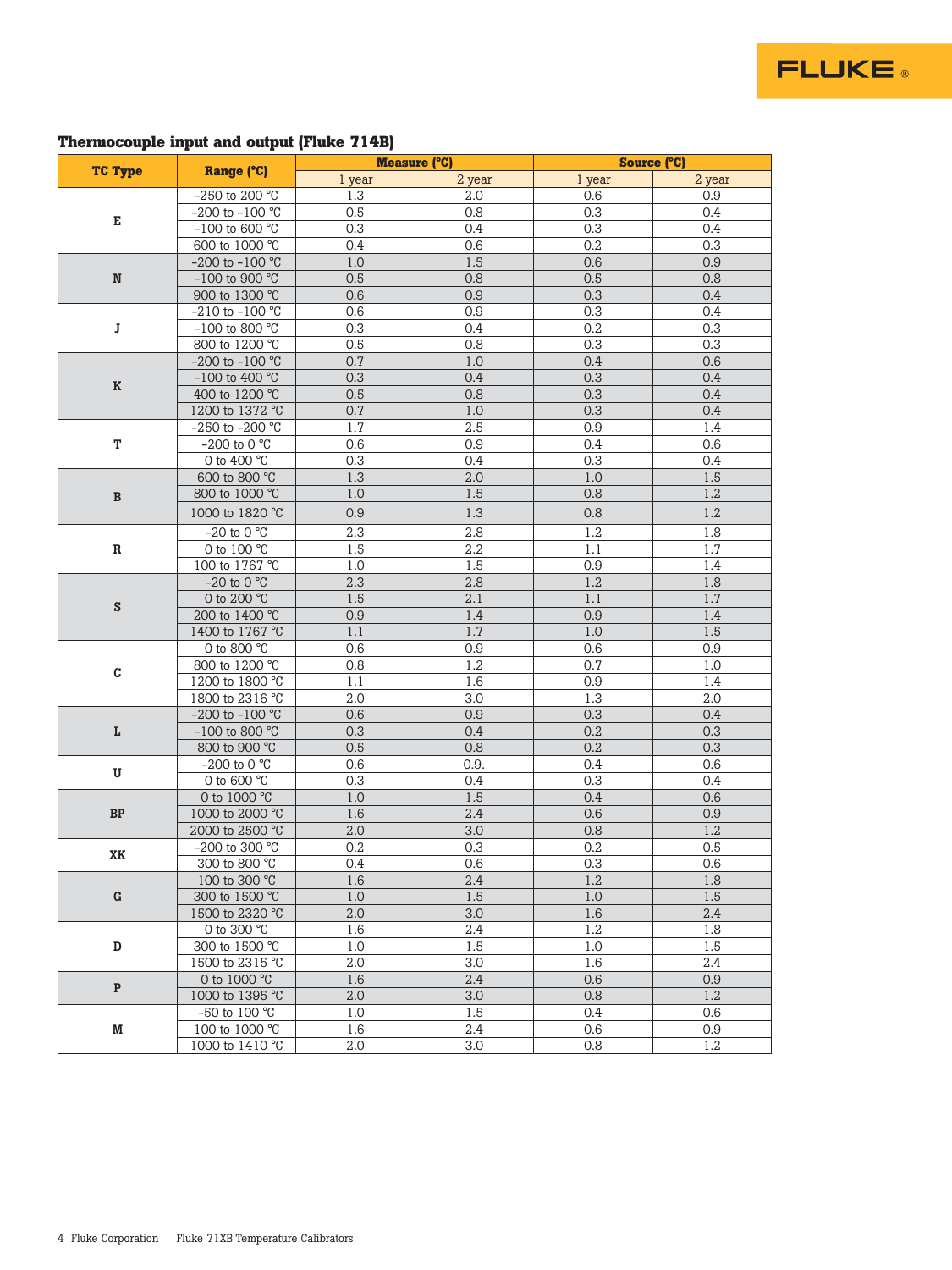#### **Thermocouple input and output (Fluke 714B)**

|                |                                 | <b>Measure (°C)</b> |            | <b>Source (°C)</b> |            |  |
|----------------|---------------------------------|---------------------|------------|--------------------|------------|--|
| <b>TC Type</b> | Range (°C)                      | 1 year              | 2 year     | 1 year             | 2 year     |  |
|                | -250 to 200 $^{\circ}$ C        | 1.3                 | 2.0        | 0.6                | 0.9        |  |
|                | -200 to -100 °C                 | 0.5                 | 0.8        | 0.3                | 0.4        |  |
| Е              | -100 to 600 $^{\circ}$ C        | 0.3                 | 0.4        | 0.3                | 0.4        |  |
|                | 600 to 1000 °C                  | 0.4                 | 0.6        | 0.2                | 0.3        |  |
|                | $-200$ to $-100$ °C             | $1.0\,$             | 1.5        | 0.6                | 0.9        |  |
| ${\bf N}$      | -100 to 900 $^{\circ}$ C        | 0.5                 | 0.8        | 0.5                | 0.8        |  |
|                | 900 to 1300 °C                  | 0.6                 | 0.9        | 0.3                | 0.4        |  |
|                | $-210$ to $-100$ °C             | 0.6                 | 0.9        | 0.3                | 0.4        |  |
| J              | -100 to 800 $^{\circ}$ C        | 0.3                 | 0.4        | 0.2                | 0.3        |  |
|                | 800 to 1200 °C                  | 0.5                 | 0.8        | 0.3                | 0.3        |  |
|                | -200 to -100 °C                 | 0.7                 | 1.0        | 0.4                | 0.6        |  |
| $\bf K$        | -100 to 400 °C                  | 0.3                 | 0.4        | 0.3                | 0.4        |  |
|                | 400 to 1200 °C                  | $0.5\,$             | 0.8        | 0.3                | 0.4        |  |
|                | 1200 to 1372 °C                 | 0.7                 | 1.0        | 0.3                | 0.4        |  |
|                | -250 to -200 °C                 | 1.7                 | 2.5        | 0.9                | 1.4        |  |
| T              | $-200$ to $0^{\circ}$ °C        | 0.6                 | 0.9        | 0.4                | 0.6        |  |
|                | 0 to 400 $^{\circ}$ C           | 0.3                 | 0.4        | 0.3                | 0.4        |  |
|                | 600 to 800 °C                   | 1.3                 | 2.0        | $1.0\,$            | 1.5        |  |
| $\, {\bf B}$   | 800 to 1000 °C                  | $1.0\,$             | 1.5        | 0.8                | 1.2        |  |
|                | 1000 to 1820 °C                 | 0.9                 | 1.3        | 0.8                | 1.2        |  |
|                | -20 to 0 $^{\circ}$ C           | 2.3                 | 2.8        | 1.2                | 1.8        |  |
| R              | 0 to 100 °C                     | 1.5                 | $2.2\,$    | 1.1                | 1.7        |  |
|                | 100 to 1767 °C                  | 1.0                 | 1.5        | 0.9                | 1.4        |  |
|                | $-20$ to 0 °C                   | 2.3                 | 2.8        | 1.2                | 1.8        |  |
| ${\bf S}$      | 0 to 200 °C                     | 1.5                 | 2.1        | 1.1                | 1.7        |  |
|                | 200 to 1400 °C                  | 0.9                 | 1.4        | 0.9                | 1.4        |  |
|                | 1400 to 1767 °C                 | 1.1                 | 1.7        | $1.0\,$            | 1.5        |  |
|                | 0 to 800 °C                     | 0.6                 | 0.9        | 0.6                | 0.9        |  |
| C              | 800 to 1200 °C                  | 0.8                 | 1.2        | 0.7                | 1.0        |  |
|                | 1200 to 1800 °C                 | 1.1                 | 1.6        | 0.9                | 1.4        |  |
|                | 1800 to 2316 °C                 | 2.0                 | 3.0        | 1.3                | 2.0        |  |
|                | $-200$ to $-100$ °C             | 0.6                 | 0.9        | 0.3                | 0.4        |  |
| г              | $-100$ to 800 °C                | 0.3<br>0.5          | 0.4<br>0.8 | 0.2<br>0.2         | 0.3<br>0.3 |  |
|                | 800 to 900 °C<br>$-200$ to 0 °C | 0.6                 | 0.9.       | 0.4                | 0.6        |  |
| U              | 0 to 600 °C                     | 0.3                 | 0.4        | 0.3                | 0.4        |  |
|                | 0 to 1000 °C                    | $1.0\,$             | 1.5        | 0.4                | 0.6        |  |
| ${\bf BP}$     | 1000 to 2000 °C                 | 1.6                 | 2.4        | 0.6                | 0.9        |  |
|                | 2000 to 2500 °C                 | 2.0                 | 3.0        | 0.8                | 1.2        |  |
|                | -200 to 300 °C                  | 0.2                 | 0.3        | 0.2                | 0.5        |  |
| XK             | 300 to 800 °C                   | 0.4                 | 0.6        | 0.3                | 0.6        |  |
|                | 100 to 300 °C                   | 1.6                 | 2.4        | 1.2                | 1.8        |  |
| ${\bf G}$      | 300 to 1500 °C                  | 1.0                 | 1.5        | 1.0                | 1.5        |  |
|                | 1500 to 2320 °C                 | 2.0                 | 3.0        | 1.6                | 2.4        |  |
|                | 0 to 300 °C                     | 1.6                 | 2.4        | 1.2                | 1.8        |  |
| D              | 300 to 1500 °C                  | 1.0                 | 1.5        | 1.0                | 1.5        |  |
|                | 1500 to 2315 °C                 | 2.0                 | 3.0        | 1.6                | 2.4        |  |
|                | 0 to 1000 °C                    | 1.6                 | 2.4        | 0.6                | 0.9        |  |
| $\mathbf{P}$   | 1000 to 1395 °C                 | 2.0                 | 3.0        | 0.8                | 1.2        |  |
|                | -50 to 100 $^{\circ}$ C         | 1.0                 | 1.5        | 0.4                | 0.6        |  |
| M              | 100 to 1000 °C                  | 1.6                 | 2.4        | 0.6                | 0.9        |  |
|                | 1000 to 1410 °C                 | 2.0                 | 3.0        | 0.8                | 1.2        |  |

**FLUKE**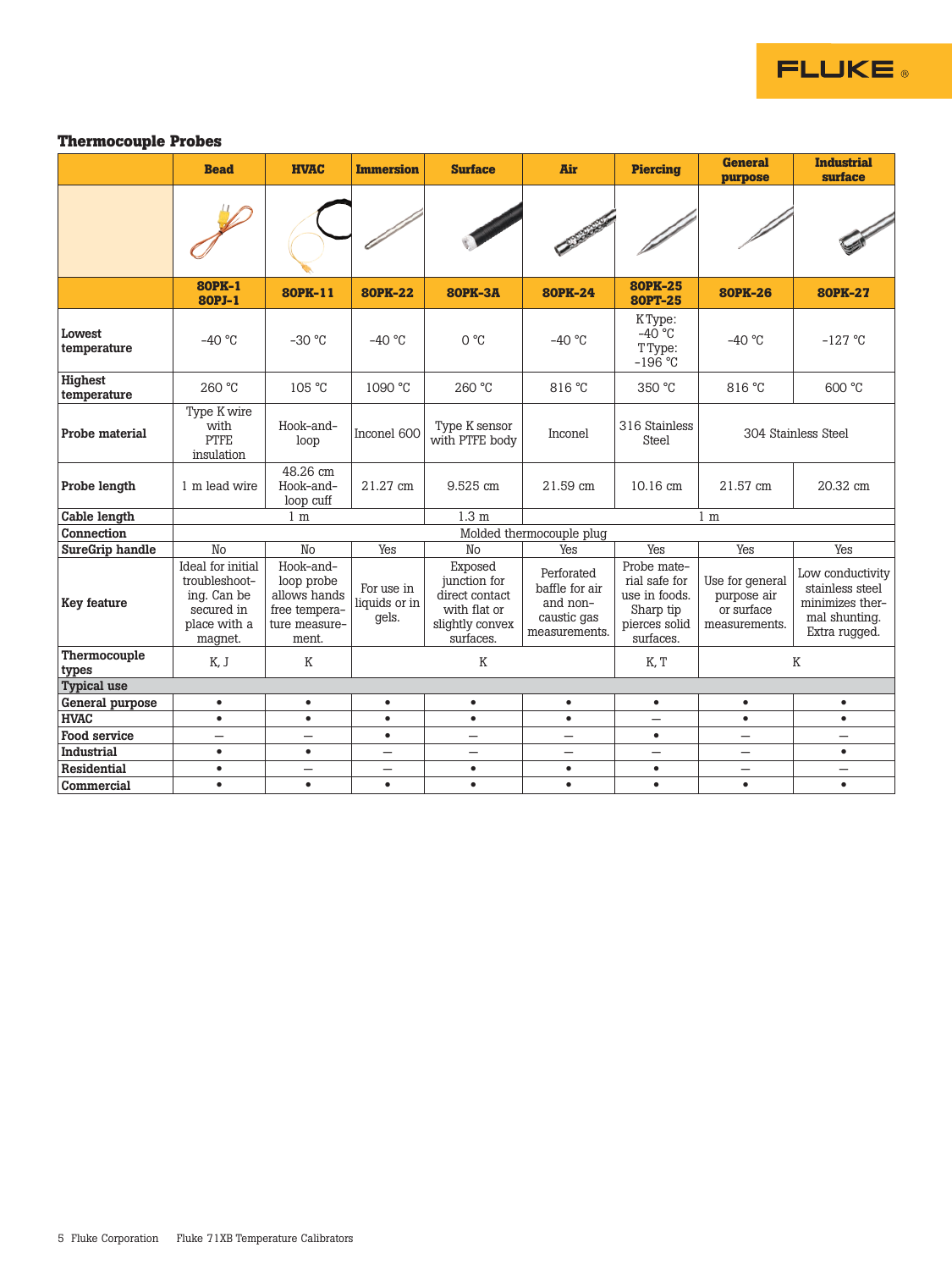

#### **Thermocouple Probes**

|                        | <b>Bead</b>                                                                                | <b>HVAC</b>                                                                        | <b>Immersion</b>                     | <b>Surface</b>                                                                            | Air                                                                      | <b>Piercing</b>                                                                          | <b>General</b><br>purpose                                     | <b>Industrial</b><br>surface                                                             |
|------------------------|--------------------------------------------------------------------------------------------|------------------------------------------------------------------------------------|--------------------------------------|-------------------------------------------------------------------------------------------|--------------------------------------------------------------------------|------------------------------------------------------------------------------------------|---------------------------------------------------------------|------------------------------------------------------------------------------------------|
|                        |                                                                                            |                                                                                    |                                      |                                                                                           |                                                                          |                                                                                          |                                                               |                                                                                          |
|                        | <b>80PK-1</b><br>80PJ-1                                                                    | 80PK-11                                                                            | <b>80PK-22</b>                       | <b>80PK-3A</b>                                                                            | <b>80PK-24</b>                                                           | <b>80PK-25</b><br><b>80PT-25</b>                                                         | <b>80PK-26</b>                                                | <b>80PK-27</b>                                                                           |
| Lowest<br>temperature  | $-40$ °C                                                                                   | $-30$ °C                                                                           | $-40$ °C                             | $O^{\circ}C$                                                                              | $-40$ °C                                                                 | KType:<br>$-40^{\circ}$ C<br>TType:<br>$-196$ °C                                         | $-40$ °C                                                      | $-127$ °C                                                                                |
| Highest<br>temperature | 260 °C                                                                                     | 105 °C                                                                             | 1090 °C                              | 260 °C                                                                                    | 816 °C                                                                   | 350 °C                                                                                   | 816 °C                                                        | 600 °C                                                                                   |
| Probe material         | Type K wire<br>with<br><b>PTFE</b><br>insulation                                           | Hook-and-<br>loop                                                                  | Inconel 600                          | Type K sensor<br>with PTFE body                                                           | Inconel                                                                  | 316 Stainless<br>Steel                                                                   |                                                               | 304 Stainless Steel                                                                      |
| Probe length           | 1 m lead wire                                                                              | 48.26 cm<br>Hook-and-<br>loop cuff                                                 | 21.27 cm                             | 9.525 cm                                                                                  | 21.59 cm                                                                 | 10.16 cm                                                                                 | 21.57 cm                                                      | 20.32 cm                                                                                 |
| Cable length           |                                                                                            | 1 <sub>m</sub>                                                                     |                                      | 1.3 <sub>m</sub>                                                                          |                                                                          |                                                                                          | 1 <sub>m</sub>                                                |                                                                                          |
| Connection             |                                                                                            |                                                                                    |                                      |                                                                                           | Molded thermocouple plug                                                 |                                                                                          |                                                               |                                                                                          |
| SureGrip handle        | No                                                                                         | No                                                                                 | Yes                                  | No                                                                                        | Yes                                                                      | Yes                                                                                      | Yes                                                           | Yes                                                                                      |
| Key feature            | Ideal for initial<br>troubleshoot-<br>ing. Can be<br>secured in<br>place with a<br>magnet. | Hook-and-<br>loop probe<br>allows hands<br>free tempera-<br>ture measure-<br>ment. | For use in<br>liquids or in<br>gels. | Exposed<br>junction for<br>direct contact<br>with flat or<br>slightly convex<br>surfaces. | Perforated<br>baffle for air<br>and non-<br>caustic gas<br>measurements. | Probe mate-<br>rial safe for<br>use in foods.<br>Sharp tip<br>pierces solid<br>surfaces. | Use for general<br>purpose air<br>or surface<br>measurements. | Low conductivity<br>stainless steel<br>minimizes ther-<br>mal shunting.<br>Extra rugged. |
| Thermocouple<br>types  | K, J                                                                                       | K                                                                                  | K                                    |                                                                                           | K, T                                                                     |                                                                                          | K                                                             |                                                                                          |
| <b>Typical use</b>     |                                                                                            |                                                                                    |                                      |                                                                                           |                                                                          |                                                                                          |                                                               |                                                                                          |
| General purpose        | $\bullet$                                                                                  | $\bullet$                                                                          | $\bullet$                            | $\bullet$                                                                                 | $\bullet$                                                                | $\bullet$                                                                                | $\bullet$                                                     | $\bullet$                                                                                |
| <b>HVAC</b>            | $\bullet$                                                                                  | $\bullet$                                                                          | $\bullet$                            | $\bullet$                                                                                 | $\bullet$                                                                | $\overline{\phantom{0}}$                                                                 | $\bullet$                                                     | $\bullet$                                                                                |
| Food service           | $\overline{\phantom{0}}$                                                                   | $\overline{\phantom{0}}$                                                           | $\bullet$                            | $\overline{\phantom{0}}$                                                                  | $\overline{\phantom{0}}$                                                 | $\bullet$                                                                                | $\equiv$                                                      | $\overline{\phantom{0}}$                                                                 |
| Industrial             | $\bullet$                                                                                  | $\bullet$                                                                          | $\overline{\phantom{0}}$             | —                                                                                         | $\overline{\phantom{0}}$                                                 |                                                                                          | $\overline{\phantom{0}}$                                      | $\bullet$                                                                                |
| <b>Residential</b>     | $\bullet$                                                                                  | —                                                                                  |                                      | $\bullet$                                                                                 | $\bullet$                                                                | $\bullet$                                                                                |                                                               |                                                                                          |
| Commercial             | $\bullet$                                                                                  | $\bullet$                                                                          | $\bullet$                            | $\bullet$                                                                                 | $\bullet$                                                                | $\bullet$                                                                                | $\bullet$                                                     | $\bullet$                                                                                |